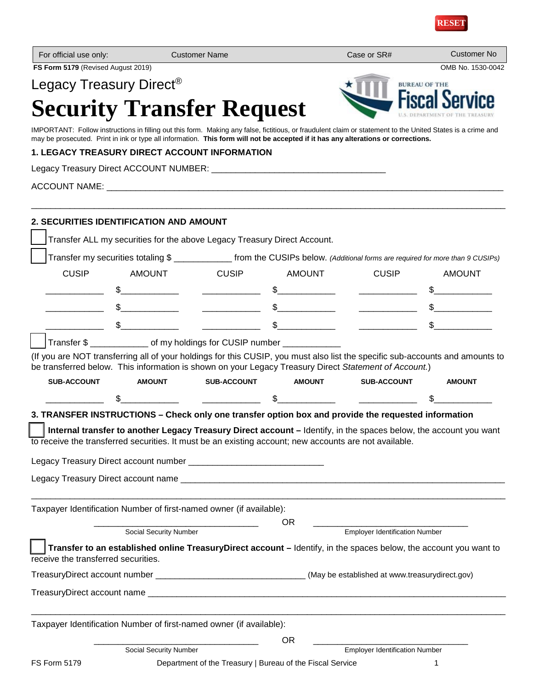

| For official use only:              |                                                                                                                                                                                                                                                                                                  | <b>Customer Name</b> |                                                                                                                                                                                                                                                                                                                                                                                                                                                                                                                              | Case or SR#                                                                                                                                                                                                                                                                                      | <b>Customer No</b>   |
|-------------------------------------|--------------------------------------------------------------------------------------------------------------------------------------------------------------------------------------------------------------------------------------------------------------------------------------------------|----------------------|------------------------------------------------------------------------------------------------------------------------------------------------------------------------------------------------------------------------------------------------------------------------------------------------------------------------------------------------------------------------------------------------------------------------------------------------------------------------------------------------------------------------------|--------------------------------------------------------------------------------------------------------------------------------------------------------------------------------------------------------------------------------------------------------------------------------------------------|----------------------|
| FS Form 5179 (Revised August 2019)  |                                                                                                                                                                                                                                                                                                  |                      |                                                                                                                                                                                                                                                                                                                                                                                                                                                                                                                              |                                                                                                                                                                                                                                                                                                  | OMB No. 1530-0042    |
|                                     | Legacy Treasury Direct <sup>®</sup>                                                                                                                                                                                                                                                              |                      |                                                                                                                                                                                                                                                                                                                                                                                                                                                                                                                              |                                                                                                                                                                                                                                                                                                  | <b>BUREAU OF THE</b> |
|                                     | <b>Security Transfer Request</b>                                                                                                                                                                                                                                                                 |                      |                                                                                                                                                                                                                                                                                                                                                                                                                                                                                                                              |                                                                                                                                                                                                                                                                                                  |                      |
|                                     | IMPORTANT: Follow instructions in filling out this form. Making any false, fictitious, or fraudulent claim or statement to the United States is a crime and<br>may be prosecuted. Print in ink or type all information. This form will not be accepted if it has any alterations or corrections. |                      |                                                                                                                                                                                                                                                                                                                                                                                                                                                                                                                              |                                                                                                                                                                                                                                                                                                  |                      |
|                                     | 1. LEGACY TREASURY DIRECT ACCOUNT INFORMATION                                                                                                                                                                                                                                                    |                      |                                                                                                                                                                                                                                                                                                                                                                                                                                                                                                                              |                                                                                                                                                                                                                                                                                                  |                      |
|                                     |                                                                                                                                                                                                                                                                                                  |                      |                                                                                                                                                                                                                                                                                                                                                                                                                                                                                                                              |                                                                                                                                                                                                                                                                                                  |                      |
|                                     |                                                                                                                                                                                                                                                                                                  |                      |                                                                                                                                                                                                                                                                                                                                                                                                                                                                                                                              |                                                                                                                                                                                                                                                                                                  |                      |
|                                     | 2. SECURITIES IDENTIFICATION AND AMOUNT                                                                                                                                                                                                                                                          |                      |                                                                                                                                                                                                                                                                                                                                                                                                                                                                                                                              |                                                                                                                                                                                                                                                                                                  |                      |
|                                     | Transfer ALL my securities for the above Legacy Treasury Direct Account.                                                                                                                                                                                                                         |                      |                                                                                                                                                                                                                                                                                                                                                                                                                                                                                                                              |                                                                                                                                                                                                                                                                                                  |                      |
|                                     | Transfer my securities totaling \$ _______________ from the CUSIPs below. (Additional forms are required for more than 9 CUSIPs)                                                                                                                                                                 |                      |                                                                                                                                                                                                                                                                                                                                                                                                                                                                                                                              |                                                                                                                                                                                                                                                                                                  |                      |
| <b>CUSIP</b>                        | <b>AMOUNT</b>                                                                                                                                                                                                                                                                                    | <b>CUSIP</b>         | AMOUNT                                                                                                                                                                                                                                                                                                                                                                                                                                                                                                                       | <b>CUSIP</b>                                                                                                                                                                                                                                                                                     | <b>AMOUNT</b>        |
|                                     |                                                                                                                                                                                                                                                                                                  |                      |                                                                                                                                                                                                                                                                                                                                                                                                                                                                                                                              | $\frac{1}{2}$ , we have the set of $\frac{1}{2}$ , $\frac{1}{2}$ , $\frac{1}{2}$ , $\frac{1}{2}$ , $\frac{1}{2}$ , $\frac{1}{2}$ , $\frac{1}{2}$ , $\frac{1}{2}$ , $\frac{1}{2}$ , $\frac{1}{2}$ , $\frac{1}{2}$ , $\frac{1}{2}$ , $\frac{1}{2}$ , $\frac{1}{2}$ , $\frac{1}{2}$ , $\frac{1}{2}$ |                      |
|                                     | $\frac{1}{2}$                                                                                                                                                                                                                                                                                    |                      | $\begin{tabular}{c} \multicolumn{3}{c }{3} \end{tabular} \begin{tabular}{c} \multicolumn{3}{c }{\textbf{\textcolor{red}{x}}}\end{tabular} \begin{tabular}{c} \multicolumn{3}{c }{\textbf{\textcolor{red}{x}}}\end{tabular} \end{tabular} \begin{tabular}{c} \multicolumn{3}{c }{\textbf{\textcolor{red}{x}}}\end{tabular} \begin{tabular}{c} \multicolumn{3}{c }{\textbf{\textcolor{red}{x}}}\end{tabular} \end{tabular} \begin{tabular}{c} \multicolumn{3}{c }{\textbf{\textcolor{red}{x}}}\end{tabular} \begin{tabular}{c$ | <u> 1986 - Johann Barbara, martin d</u>                                                                                                                                                                                                                                                          |                      |
|                                     |                                                                                                                                                                                                                                                                                                  |                      |                                                                                                                                                                                                                                                                                                                                                                                                                                                                                                                              |                                                                                                                                                                                                                                                                                                  |                      |
|                                     | Transfer \$ _______________ of my holdings for CUSIP number ___________                                                                                                                                                                                                                          |                      |                                                                                                                                                                                                                                                                                                                                                                                                                                                                                                                              |                                                                                                                                                                                                                                                                                                  |                      |
|                                     | (If you are NOT transferring all of your holdings for this CUSIP, you must also list the specific sub-accounts and amounts to<br>be transferred below. This information is shown on your Legacy Treasury Direct Statement of Account.)                                                           |                      |                                                                                                                                                                                                                                                                                                                                                                                                                                                                                                                              |                                                                                                                                                                                                                                                                                                  |                      |
| <b>SUB-ACCOUNT</b>                  | <b>AMOUNT</b>                                                                                                                                                                                                                                                                                    | <b>SUB-ACCOUNT</b>   | <b>AMOUNT</b>                                                                                                                                                                                                                                                                                                                                                                                                                                                                                                                | <b>SUB-ACCOUNT</b>                                                                                                                                                                                                                                                                               | <b>AMOUNT</b>        |
|                                     |                                                                                                                                                                                                                                                                                                  |                      | $\mathbb{S}$                                                                                                                                                                                                                                                                                                                                                                                                                                                                                                                 |                                                                                                                                                                                                                                                                                                  |                      |
|                                     | 3. TRANSFER INSTRUCTIONS - Check only one transfer option box and provide the requested information                                                                                                                                                                                              |                      |                                                                                                                                                                                                                                                                                                                                                                                                                                                                                                                              |                                                                                                                                                                                                                                                                                                  |                      |
|                                     | Internal transfer to another Legacy Treasury Direct account – Identify, in the spaces below, the account you want                                                                                                                                                                                |                      |                                                                                                                                                                                                                                                                                                                                                                                                                                                                                                                              |                                                                                                                                                                                                                                                                                                  |                      |
|                                     | to receive the transferred securities. It must be an existing account; new accounts are not available.                                                                                                                                                                                           |                      |                                                                                                                                                                                                                                                                                                                                                                                                                                                                                                                              |                                                                                                                                                                                                                                                                                                  |                      |
|                                     |                                                                                                                                                                                                                                                                                                  |                      |                                                                                                                                                                                                                                                                                                                                                                                                                                                                                                                              |                                                                                                                                                                                                                                                                                                  |                      |
|                                     |                                                                                                                                                                                                                                                                                                  |                      |                                                                                                                                                                                                                                                                                                                                                                                                                                                                                                                              |                                                                                                                                                                                                                                                                                                  |                      |
|                                     | Taxpayer Identification Number of first-named owner (if available):                                                                                                                                                                                                                              |                      |                                                                                                                                                                                                                                                                                                                                                                                                                                                                                                                              |                                                                                                                                                                                                                                                                                                  |                      |
|                                     | Social Security Number                                                                                                                                                                                                                                                                           |                      | <b>OR</b>                                                                                                                                                                                                                                                                                                                                                                                                                                                                                                                    | <b>Employer Identification Number</b>                                                                                                                                                                                                                                                            |                      |
|                                     | Transfer to an established online TreasuryDirect account - Identify, in the spaces below, the account you want to                                                                                                                                                                                |                      |                                                                                                                                                                                                                                                                                                                                                                                                                                                                                                                              |                                                                                                                                                                                                                                                                                                  |                      |
| receive the transferred securities. |                                                                                                                                                                                                                                                                                                  |                      |                                                                                                                                                                                                                                                                                                                                                                                                                                                                                                                              |                                                                                                                                                                                                                                                                                                  |                      |
|                                     | TreasuryDirect account number __________________________________(May be established at www.treasurydirect.gov)                                                                                                                                                                                   |                      |                                                                                                                                                                                                                                                                                                                                                                                                                                                                                                                              |                                                                                                                                                                                                                                                                                                  |                      |
|                                     |                                                                                                                                                                                                                                                                                                  |                      |                                                                                                                                                                                                                                                                                                                                                                                                                                                                                                                              |                                                                                                                                                                                                                                                                                                  |                      |
|                                     | Taxpayer Identification Number of first-named owner (if available):                                                                                                                                                                                                                              |                      |                                                                                                                                                                                                                                                                                                                                                                                                                                                                                                                              |                                                                                                                                                                                                                                                                                                  |                      |
|                                     |                                                                                                                                                                                                                                                                                                  |                      | <b>OR</b>                                                                                                                                                                                                                                                                                                                                                                                                                                                                                                                    |                                                                                                                                                                                                                                                                                                  |                      |
|                                     | Social Security Number                                                                                                                                                                                                                                                                           |                      |                                                                                                                                                                                                                                                                                                                                                                                                                                                                                                                              | <b>Employer Identification Number</b>                                                                                                                                                                                                                                                            |                      |
| <b>FS Form 5179</b>                 |                                                                                                                                                                                                                                                                                                  |                      | Department of the Treasury   Bureau of the Fiscal Service                                                                                                                                                                                                                                                                                                                                                                                                                                                                    |                                                                                                                                                                                                                                                                                                  | 1                    |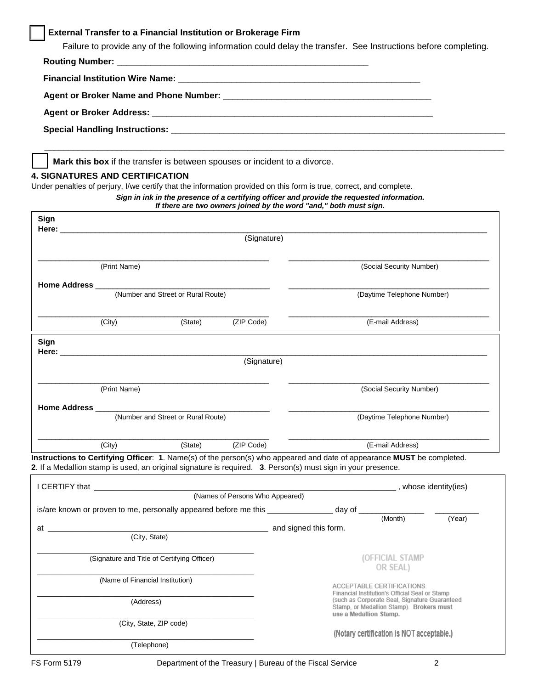# **External Transfer to a Financial Institution or Brokerage Firm**

Failure to provide any of the following information could delay the transfer. See Instructions before completing.

**Mark this box** if the transfer is between spouses or incident to a divorce.

#### **4. SIGNATURES AND CERTIFICATION**

Under penalties of perjury, I/we certify that the information provided on this form is true, correct, and complete.

|                                                                                                                                                                                                                                |                                                                                                              |                                    |                                 | If there are two owners joined by the word "and," both must sign.                                                                                                     | Sign in ink in the presence of a certifying officer and provide the requested information.                             |        |
|--------------------------------------------------------------------------------------------------------------------------------------------------------------------------------------------------------------------------------|--------------------------------------------------------------------------------------------------------------|------------------------------------|---------------------------------|-----------------------------------------------------------------------------------------------------------------------------------------------------------------------|------------------------------------------------------------------------------------------------------------------------|--------|
| Sign<br>Here:                                                                                                                                                                                                                  |                                                                                                              |                                    |                                 |                                                                                                                                                                       |                                                                                                                        |        |
|                                                                                                                                                                                                                                |                                                                                                              |                                    | (Signature)                     |                                                                                                                                                                       |                                                                                                                        |        |
|                                                                                                                                                                                                                                | (Print Name)                                                                                                 |                                    |                                 |                                                                                                                                                                       | (Social Security Number)                                                                                               |        |
| Home Address ___                                                                                                                                                                                                               |                                                                                                              |                                    |                                 |                                                                                                                                                                       |                                                                                                                        |        |
|                                                                                                                                                                                                                                |                                                                                                              | (Number and Street or Rural Route) |                                 |                                                                                                                                                                       | (Daytime Telephone Number)                                                                                             |        |
|                                                                                                                                                                                                                                | (City)                                                                                                       | (State)                            | (ZIP Code)                      |                                                                                                                                                                       | (E-mail Address)                                                                                                       |        |
| Sign                                                                                                                                                                                                                           |                                                                                                              |                                    |                                 |                                                                                                                                                                       |                                                                                                                        |        |
|                                                                                                                                                                                                                                |                                                                                                              |                                    | (Signature)                     |                                                                                                                                                                       |                                                                                                                        |        |
|                                                                                                                                                                                                                                | (Print Name)                                                                                                 |                                    |                                 |                                                                                                                                                                       | (Social Security Number)                                                                                               |        |
| Home Address ___________                                                                                                                                                                                                       |                                                                                                              |                                    |                                 |                                                                                                                                                                       |                                                                                                                        |        |
|                                                                                                                                                                                                                                |                                                                                                              | (Number and Street or Rural Route) |                                 |                                                                                                                                                                       | (Daytime Telephone Number)                                                                                             |        |
|                                                                                                                                                                                                                                | (City)                                                                                                       | (State)                            | (ZIP Code)                      |                                                                                                                                                                       | (E-mail Address)                                                                                                       |        |
|                                                                                                                                                                                                                                | 2. If a Medallion stamp is used, an original signature is required. 3. Person(s) must sign in your presence. |                                    |                                 |                                                                                                                                                                       | Instructions to Certifying Officer: 1. Name(s) of the person(s) who appeared and date of appearance MUST be completed. |        |
|                                                                                                                                                                                                                                |                                                                                                              |                                    |                                 |                                                                                                                                                                       |                                                                                                                        |        |
|                                                                                                                                                                                                                                |                                                                                                              |                                    | (Names of Persons Who Appeared) |                                                                                                                                                                       |                                                                                                                        |        |
|                                                                                                                                                                                                                                |                                                                                                              |                                    |                                 |                                                                                                                                                                       | is/are known or proven to me, personally appeared before me this _______________ day of ____________ (Month)           | (Year) |
| at the contract of the contract of the contract of the contract of the contract of the contract of the contract of the contract of the contract of the contract of the contract of the contract of the contract of the contrac | (City, State)                                                                                                |                                    |                                 | and signed this form.                                                                                                                                                 |                                                                                                                        |        |
|                                                                                                                                                                                                                                | (Signature and Title of Certifying Officer)                                                                  |                                    |                                 |                                                                                                                                                                       | (OFFICIAL STAMP<br>OR SEAL)                                                                                            |        |
| (Name of Financial Institution)                                                                                                                                                                                                |                                                                                                              |                                    |                                 | ACCEPTABLE CERTIFICATIONS:                                                                                                                                            |                                                                                                                        |        |
| (Address)                                                                                                                                                                                                                      |                                                                                                              |                                    |                                 | Financial Institution's Official Seal or Stamp<br>(such as Corporate Seal, Signature Guaranteed<br>Stamp, or Medallion Stamp). Brokers must<br>use a Medallion Stamp. |                                                                                                                        |        |
| (City, State, ZIP code)                                                                                                                                                                                                        |                                                                                                              |                                    |                                 | (Notary certification is NOT acceptable.)                                                                                                                             |                                                                                                                        |        |
| (Telephone)                                                                                                                                                                                                                    |                                                                                                              |                                    |                                 |                                                                                                                                                                       |                                                                                                                        |        |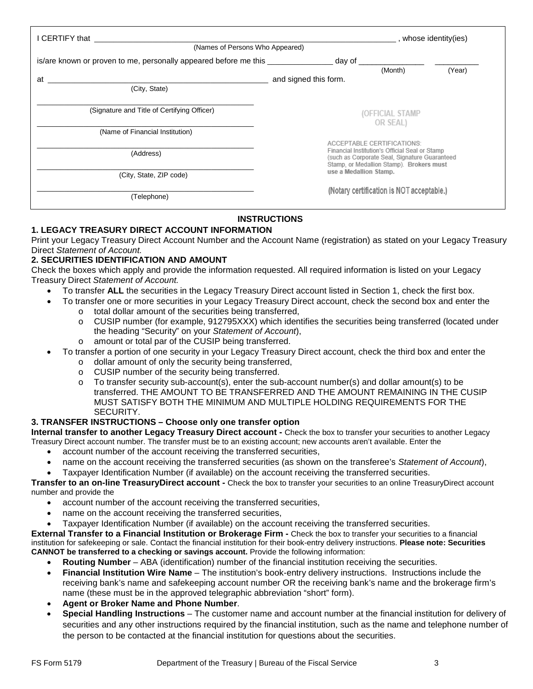| I CERTIFY that<br>(Names of Persons Who Appeared)                                |                                                                     | _, whose identity(ies)                   |        |  |
|----------------------------------------------------------------------------------|---------------------------------------------------------------------|------------------------------------------|--------|--|
|                                                                                  |                                                                     |                                          |        |  |
| is/are known or proven to me, personally appeared before me this _______________ | _ day of _                                                          |                                          |        |  |
|                                                                                  |                                                                     | (Month)                                  | (Year) |  |
| at                                                                               | and signed this form.                                               |                                          |        |  |
| (City, State)                                                                    |                                                                     |                                          |        |  |
|                                                                                  |                                                                     |                                          |        |  |
| (Signature and Title of Certifying Officer)                                      |                                                                     |                                          |        |  |
|                                                                                  | (OFFICIAL STAMP                                                     |                                          |        |  |
|                                                                                  |                                                                     | OR SEAL)                                 |        |  |
| (Name of Financial Institution)                                                  |                                                                     |                                          |        |  |
|                                                                                  |                                                                     | ACCEPTABLE CERTIFICATIONS:               |        |  |
| (Address)                                                                        | Financial Institution's Official Seal or Stamp                      |                                          |        |  |
|                                                                                  | (such as Corporate Seal, Signature Guaranteed                       |                                          |        |  |
|                                                                                  |                                                                     | Stamp, or Medallion Stamp). Brokers must |        |  |
| (City, State, ZIP code)                                                          | use a Medallion Stamp.<br>(Notary certification is NOT acceptable.) |                                          |        |  |
|                                                                                  |                                                                     |                                          |        |  |
| (Telephone)                                                                      |                                                                     |                                          |        |  |
|                                                                                  |                                                                     |                                          |        |  |

# **INSTRUCTIONS**

## **1. LEGACY TREASURY DIRECT ACCOUNT INFORMATION**

Print your Legacy Treasury Direct Account Number and the Account Name (registration) as stated on your Legacy Treasury Direct *Statement of Account.*

## **2. SECURITIES IDENTIFICATION AND AMOUNT**

Check the boxes which apply and provide the information requested. All required information is listed on your Legacy Treasury Direct *Statement of Account.*

- To transfer **ALL** the securities in the Legacy Treasury Direct account listed in Section 1, check the first box.
	- To transfer one or more securities in your Legacy Treasury Direct account, check the second box and enter the o total dollar amount of the securities being transferred,
		- o CUSIP number (for example, 912795XXX) which identifies the securities being transferred (located under the heading "Security" on your *Statement of Account*),
		- o amount or total par of the CUSIP being transferred.
- To transfer a portion of one security in your Legacy Treasury Direct account, check the third box and enter the
	- o dollar amount of only the security being transferred,
	- $\circ$  CUSIP number of the security being transferred.<br> $\circ$  To transfer security sub-account(s), enter the sub
	- To transfer security sub-account(s), enter the sub-account number(s) and dollar amount(s) to be transferred. THE AMOUNT TO BE TRANSFERRED AND THE AMOUNT REMAINING IN THE CUSIP MUST SATISFY BOTH THE MINIMUM AND MULTIPLE HOLDING REQUIREMENTS FOR THE SECURITY.

### **3. TRANSFER INSTRUCTIONS – Choose only one transfer option**

**Internal transfer to another Legacy Treasury Direct account -** Check the box to transfer your securities to another Legacy Treasury Direct account number. The transfer must be to an existing account; new accounts aren't available. Enter the

- account number of the account receiving the transferred securities,
- name on the account receiving the transferred securities (as shown on the transferee's *Statement of Account*),
- Taxpayer Identification Number (if available) on the account receiving the transferred securities.

**Transfer to an on-line TreasuryDirect account -** Check the box to transfer your securities to an online TreasuryDirect account number and provide the

- account number of the account receiving the transferred securities,
- name on the account receiving the transferred securities,
- Taxpayer Identification Number (if available) on the account receiving the transferred securities.

**External Transfer to a Financial Institution or Brokerage Firm -** Check the box to transfer your securities to a financial institution for safekeeping or sale. Contact the financial institution for their book-entry delivery instructions. **Please note: Securities CANNOT be transferred to a checking or savings account.** Provide the following information:

- **Routing Number** ABA (identification) number of the financial institution receiving the securities.
- **Financial Institution Wire Name** The institution's book-entry delivery instructions. Instructions include the receiving bank's name and safekeeping account number OR the receiving bank's name and the brokerage firm's name (these must be in the approved telegraphic abbreviation "short" form).
- **Agent or Broker Name and Phone Number**.
- **Special Handling Instructions** The customer name and account number at the financial institution for delivery of securities and any other instructions required by the financial institution, such as the name and telephone number of the person to be contacted at the financial institution for questions about the securities.